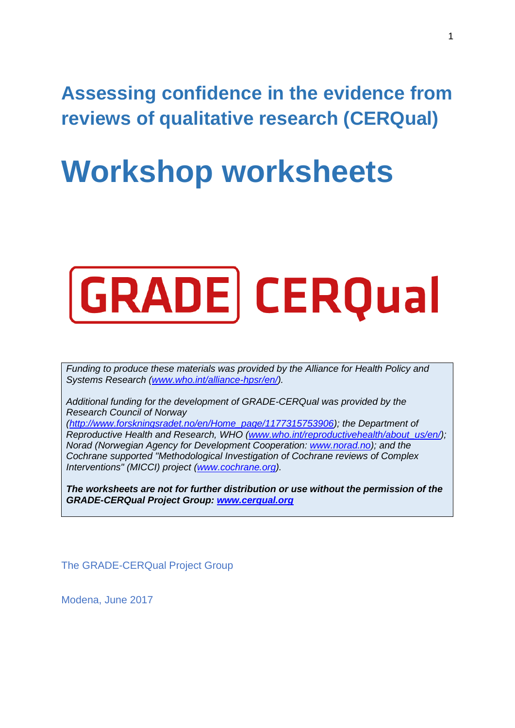**Assessing confidence in the evidence from reviews of qualitative research (CERQual)** 

# **Workshop worksheets**



*Funding to produce these materials was provided by the Alliance for Health Policy and Systems Research [\(www.who.int/alliance-hpsr/en/\)](http://www.who.int/alliance-hpsr/en/).* 

*Additional funding for the development of GRADE-CERQual was provided by the Research Council of Norway [\(http://www.forskningsradet.no/en/Home\\_page/1177315753906\)](http://www.forskningsradet.no/en/Home_page/1177315753906); the Department of Reproductive Health and Research, WHO [\(www.who.int/reproductivehealth/about\\_us/en/\)](http://www.who.int/reproductivehealth/about_us/en/); Norad (Norwegian Agency for Development Cooperation: [www.norad.no\)](http://www.norad.no/); and the Cochrane supported "Methodological Investigation of Cochrane reviews of Complex* 

*Interventions" (MICCI) project [\(www.cochrane.org\)](http://www.cochrane.org/).*

*The worksheets are not for further distribution or use without the permission of the GRADE-CERQual Project Group: [www.cerqual.org](http://www.cerqual.org/)*

The GRADE-CERQual Project Group

Modena, June 2017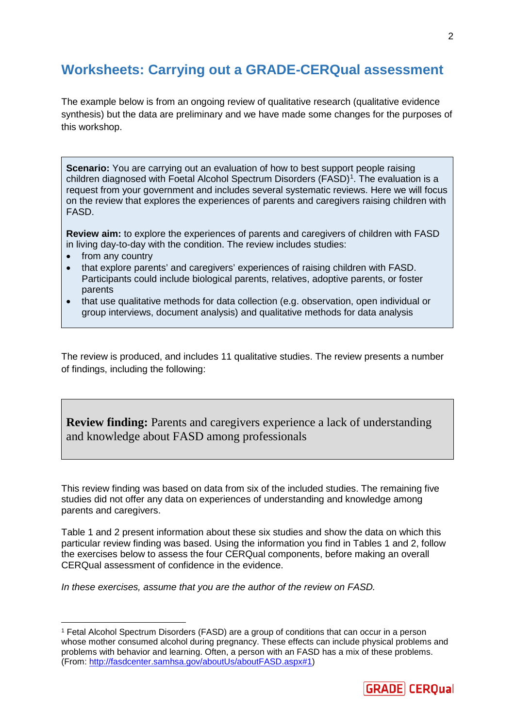# **Worksheets: Carrying out a GRADE-CERQual assessment**

The example below is from an ongoing review of qualitative research (qualitative evidence synthesis) but the data are preliminary and we have made some changes for the purposes of this workshop.

**Scenario:** You are carrying out an evaluation of how to best support people raising children diagnosed with Foetal Alcohol Spectrum Disorders (FASD)<sup>[1](#page-1-0)</sup>. The evaluation is a request from your government and includes several systematic reviews. Here we will focus on the review that explores the experiences of parents and caregivers raising children with FASD.

**Review aim:** to explore the experiences of parents and caregivers of children with FASD in living day-to-day with the condition. The review includes studies:

- from any country
- that explore parents' and caregivers' experiences of raising children with FASD. Participants could include biological parents, relatives, adoptive parents, or foster parents
- that use qualitative methods for data collection (e.g. observation, open individual or group interviews, document analysis) and qualitative methods for data analysis

The review is produced, and includes 11 qualitative studies. The review presents a number of findings, including the following:

**Review finding:** Parents and caregivers experience a lack of understanding and knowledge about FASD among professionals

This review finding was based on data from six of the included studies. The remaining five studies did not offer any data on experiences of understanding and knowledge among parents and caregivers.

Table 1 and 2 present information about these six studies and show the data on which this particular review finding was based. Using the information you find in Tables 1 and 2, follow the exercises below to assess the four CERQual components, before making an overall CERQual assessment of confidence in the evidence.

*In these exercises, assume that you are the author of the review on FASD.*



<span id="page-1-0"></span> <sup>1</sup> Fetal Alcohol Spectrum Disorders (FASD) are a group of conditions that can occur in a person whose mother consumed alcohol during pregnancy. These effects can include physical problems and problems with behavior and learning. Often, a person with an FASD has a mix of these problems. (From: [http://fasdcenter.samhsa.gov/aboutUs/aboutFASD.aspx#1\)](http://fasdcenter.samhsa.gov/aboutUs/aboutFASD.aspx#1)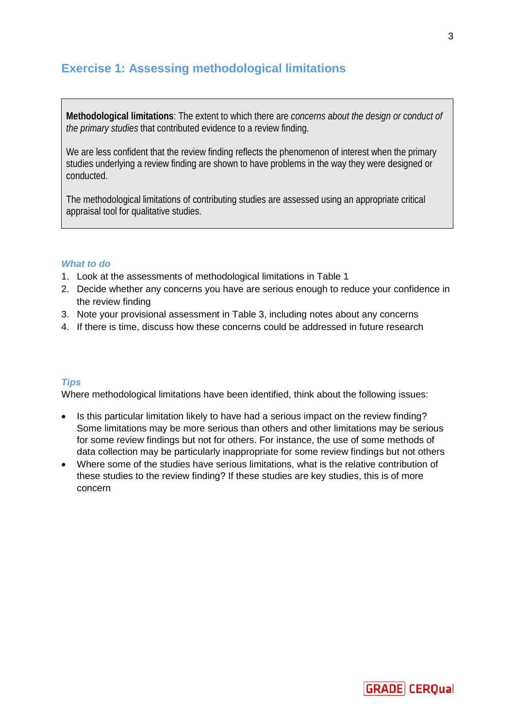# **Exercise 1: Assessing methodological limitations**

**Methodological limitations**: The extent to which there are *concerns about the design or conduct of the primary studies* that contributed evidence to a review finding.

We are less confident that the review finding reflects the phenomenon of interest when the primary studies underlying a review finding are shown to have problems in the way they were designed or conducted.

The methodological limitations of contributing studies are assessed using an appropriate critical appraisal tool for qualitative studies.

## *What to do*

- 1. Look at the assessments of methodological limitations in Table 1
- 2. Decide whether any concerns you have are serious enough to reduce your confidence in the review finding
- 3. Note your provisional assessment in Table 3, including notes about any concerns
- 4. If there is time, discuss how these concerns could be addressed in future research

## *Tips*

Where methodological limitations have been identified, think about the following issues:

- Is this particular limitation likely to have had a serious impact on the review finding? Some limitations may be more serious than others and other limitations may be serious for some review findings but not for others. For instance, the use of some methods of data collection may be particularly inappropriate for some review findings but not others
- Where some of the studies have serious limitations, what is the relative contribution of these studies to the review finding? If these studies are key studies, this is of more concern

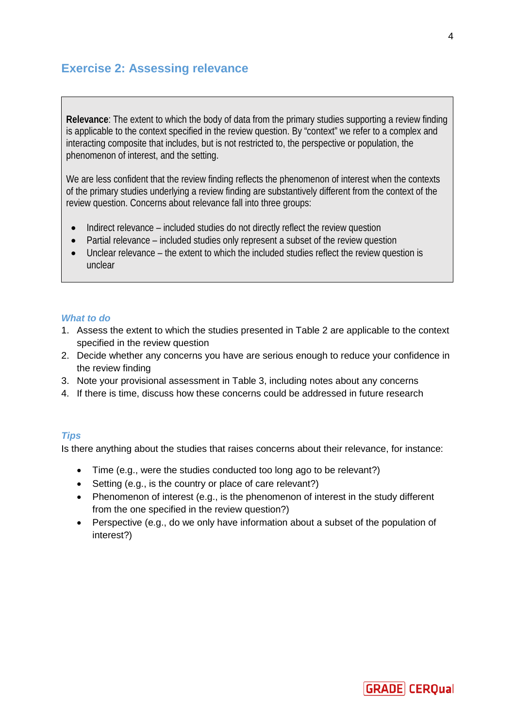## **Exercise 2: Assessing relevance**

**Relevance**: The extent to which the body of data from the primary studies supporting a review finding is applicable to the context specified in the review question. By "context" we refer to a complex and interacting composite that includes, but is not restricted to, the perspective or population, the phenomenon of interest, and the setting.

We are less confident that the review finding reflects the phenomenon of interest when the contexts of the primary studies underlying a review finding are substantively different from the context of the review question. Concerns about relevance fall into three groups:

- Indirect relevance included studies do not directly reflect the review question
- Partial relevance included studies only represent a subset of the review question
- Unclear relevance the extent to which the included studies reflect the review question is unclear

## *What to do*

- 1. Assess the extent to which the studies presented in Table 2 are applicable to the context specified in the review question
- 2. Decide whether any concerns you have are serious enough to reduce your confidence in the review finding
- 3. Note your provisional assessment in Table 3, including notes about any concerns
- 4. If there is time, discuss how these concerns could be addressed in future research

## *Tips*

Is there anything about the studies that raises concerns about their relevance, for instance:

- Time (e.g., were the studies conducted too long ago to be relevant?)
- Setting (e.g., is the country or place of care relevant?)
- Phenomenon of interest (e.g., is the phenomenon of interest in the study different from the one specified in the review question?)
- Perspective (e.g., do we only have information about a subset of the population of interest?)

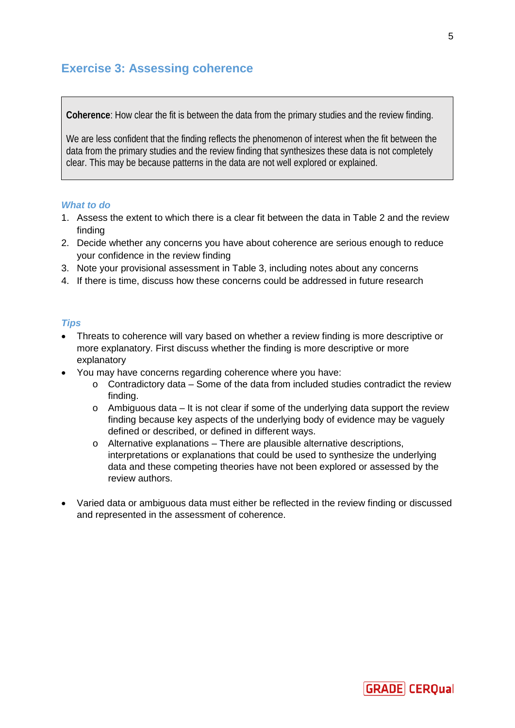# **Exercise 3: Assessing coherence**

**Coherence**: How clear the fit is between the data from the primary studies and the review finding.

We are less confident that the finding reflects the phenomenon of interest when the fit between the data from the primary studies and the review finding that synthesizes these data is not completely clear. This may be because patterns in the data are not well explored or explained.

## *What to do*

- 1. Assess the extent to which there is a clear fit between the data in Table 2 and the review finding
- 2. Decide whether any concerns you have about coherence are serious enough to reduce your confidence in the review finding
- 3. Note your provisional assessment in Table 3, including notes about any concerns
- 4. If there is time, discuss how these concerns could be addressed in future research

## *Tips*

- Threats to coherence will vary based on whether a review finding is more descriptive or more explanatory. First discuss whether the finding is more descriptive or more explanatory
- You may have concerns regarding coherence where you have:
	- o Contradictory data Some of the data from included studies contradict the review finding.
	- $\circ$  Ambiguous data It is not clear if some of the underlying data support the review finding because key aspects of the underlying body of evidence may be vaguely defined or described, or defined in different ways.
	- o Alternative explanations There are plausible alternative descriptions, interpretations or explanations that could be used to synthesize the underlying data and these competing theories have not been explored or assessed by the review authors.
- Varied data or ambiguous data must either be reflected in the review finding or discussed and represented in the assessment of coherence.

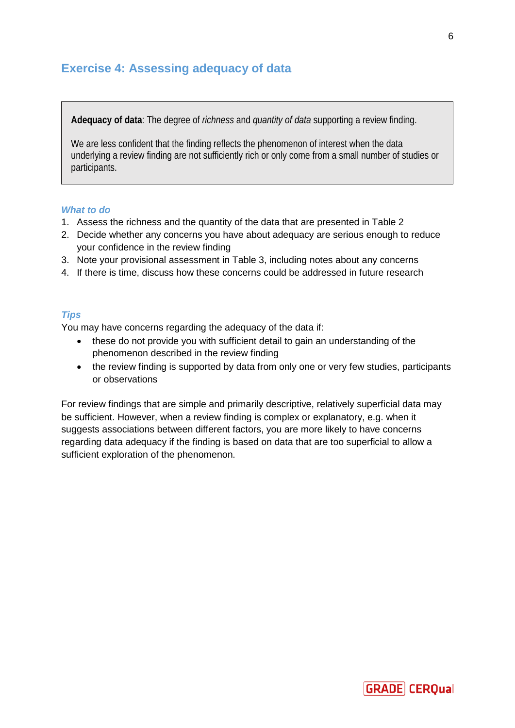## **Exercise 4: Assessing adequacy of data**

**Adequacy of data**: The degree of *richness* and *quantity of data* supporting a review finding.

We are less confident that the finding reflects the phenomenon of interest when the data underlying a review finding are not sufficiently rich or only come from a small number of studies or participants.

## *What to do*

- 1. Assess the richness and the quantity of the data that are presented in Table 2
- 2. Decide whether any concerns you have about adequacy are serious enough to reduce your confidence in the review finding
- 3. Note your provisional assessment in Table 3, including notes about any concerns
- 4. If there is time, discuss how these concerns could be addressed in future research

## *Tips*

You may have concerns regarding the adequacy of the data if:

- these do not provide you with sufficient detail to gain an understanding of the phenomenon described in the review finding
- the review finding is supported by data from only one or very few studies, participants or observations

For review findings that are simple and primarily descriptive, relatively superficial data may be sufficient. However, when a review finding is complex or explanatory, e.g. when it suggests associations between different factors, you are more likely to have concerns regarding data adequacy if the finding is based on data that are too superficial to allow a sufficient exploration of the phenomenon.



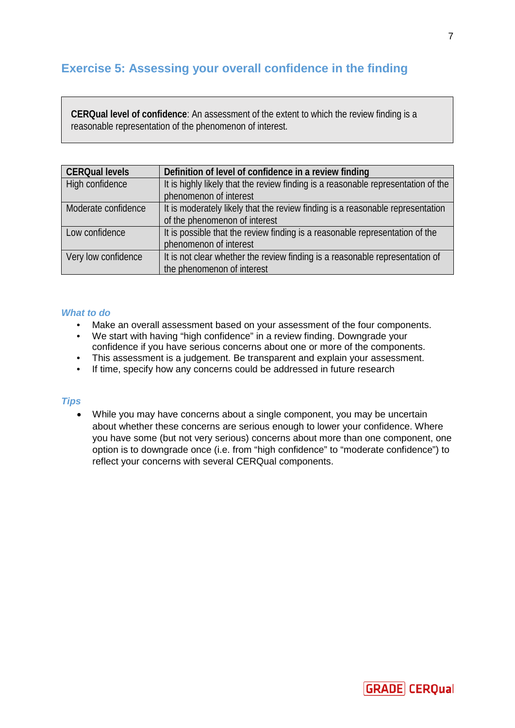# **Exercise 5: Assessing your overall confidence in the finding**

**CERQual level of confidence**: An assessment of the extent to which the review finding is a reasonable representation of the phenomenon of interest.

| <b>CERQual levels</b> | Definition of level of confidence in a review finding                             |
|-----------------------|-----------------------------------------------------------------------------------|
| High confidence       | It is highly likely that the review finding is a reasonable representation of the |
|                       | phenomenon of interest                                                            |
| Moderate confidence   | It is moderately likely that the review finding is a reasonable representation    |
|                       | of the phenomenon of interest                                                     |
| Low confidence        | It is possible that the review finding is a reasonable representation of the      |
|                       | phenomenon of interest                                                            |
| Very low confidence   | It is not clear whether the review finding is a reasonable representation of      |
|                       | the phenomenon of interest                                                        |

#### *What to do*

- Make an overall assessment based on your assessment of the four components.
- We start with having "high confidence" in a review finding. Downgrade your confidence if you have serious concerns about one or more of the components.
- This assessment is a judgement. Be transparent and explain your assessment.
- If time, specify how any concerns could be addressed in future research

#### *Tips*

• While you may have concerns about a single component, you may be uncertain about whether these concerns are serious enough to lower your confidence. Where you have some (but not very serious) concerns about more than one component, one option is to downgrade once (i.e. from "high confidence" to "moderate confidence") to reflect your concerns with several CERQual components.



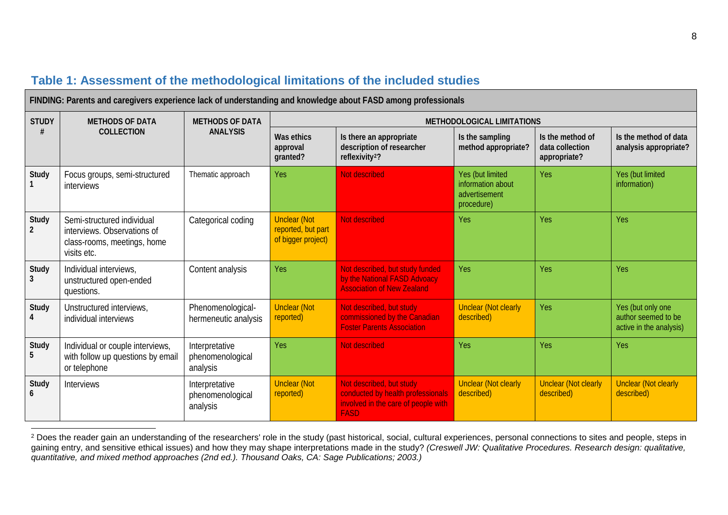| FINDING: Parents and caregivers experience lack of understanding and knowledge about FASD among professionals |                                                                                                         |                                                |                                                                 |                                                                                                                     |                                                                      |                                                     |                                                                     |
|---------------------------------------------------------------------------------------------------------------|---------------------------------------------------------------------------------------------------------|------------------------------------------------|-----------------------------------------------------------------|---------------------------------------------------------------------------------------------------------------------|----------------------------------------------------------------------|-----------------------------------------------------|---------------------------------------------------------------------|
| <b>STUDY</b>                                                                                                  | <b>METHODS OF DATA</b><br><b>COLLECTION</b>                                                             | <b>METHODS OF DATA</b><br><b>ANALYSIS</b>      | METHODOLOGICAL LIMITATIONS                                      |                                                                                                                     |                                                                      |                                                     |                                                                     |
|                                                                                                               |                                                                                                         |                                                | Was ethics<br>approval<br>granted?                              | Is there an appropriate<br>description of researcher<br>reflexivity <sup>2</sup> ?                                  | Is the sampling<br>method appropriate?                               | Is the method of<br>data collection<br>appropriate? | Is the method of data<br>analysis appropriate?                      |
| Study                                                                                                         | Focus groups, semi-structured<br><i>interviews</i>                                                      | Thematic approach                              | Yes                                                             | Not described                                                                                                       | Yes (but limited<br>information about<br>advertisement<br>procedure) | Yes                                                 | Yes (but limited<br>information)                                    |
| Study                                                                                                         | Semi-structured individual<br>interviews. Observations of<br>class-rooms, meetings, home<br>visits etc. | Categorical coding                             | <b>Unclear (Not</b><br>reported, but part<br>of bigger project) | <b>Not described</b>                                                                                                | Yes                                                                  | Yes                                                 | Yes                                                                 |
| Study<br>3                                                                                                    | Individual interviews,<br>unstructured open-ended<br>questions.                                         | Content analysis                               | Yes                                                             | Not described, but study funded<br>by the National FASD Advoacy<br><b>Association of New Zealand</b>                | Yes                                                                  | Yes                                                 | Yes                                                                 |
| Study                                                                                                         | Unstructured interviews,<br>individual interviews                                                       | Phenomenological-<br>hermeneutic analysis      | <b>Unclear (Not</b><br>reported)                                | Not described, but study<br>commissioned by the Canadian<br><b>Foster Parents Association</b>                       | <b>Unclear (Not clearly</b><br>described)                            | Yes                                                 | Yes (but only one<br>author seemed to be<br>active in the analysis) |
| Study<br>5                                                                                                    | Individual or couple interviews,<br>with follow up questions by email<br>or telephone                   | Interpretative<br>phenomenological<br>analysis | Yes                                                             | Not described                                                                                                       | Yes                                                                  | Yes                                                 | Yes                                                                 |
| Study                                                                                                         | <b>Interviews</b>                                                                                       | Interpretative<br>phenomenological<br>analysis | <b>Unclear (Not</b><br>reported)                                | Not described, but study<br>conducted by health professionals<br>involved in the care of people with<br><b>FASD</b> | <b>Unclear (Not clearly</b><br>described)                            | <b>Unclear (Not clearly</b><br>described)           | <b>Unclear (Not clearly</b><br>described)                           |

## <span id="page-7-0"></span>**Table 1: Assessment of the methodological limitations of the included studies**

<sup>2</sup> Does the reader gain an understanding of the researchers' role in the study (past historical, social, cultural experiences, personal connections to sites and people, steps in gaining entry, and sensitive ethical issues) and how they may shape interpretations made in the study? *(Creswell JW: Qualitative Procedures. Research design: qualitative, quantitative, and mixed method approaches (2nd ed.). Thousand Oaks, CA: Sage Publications; 2003.)*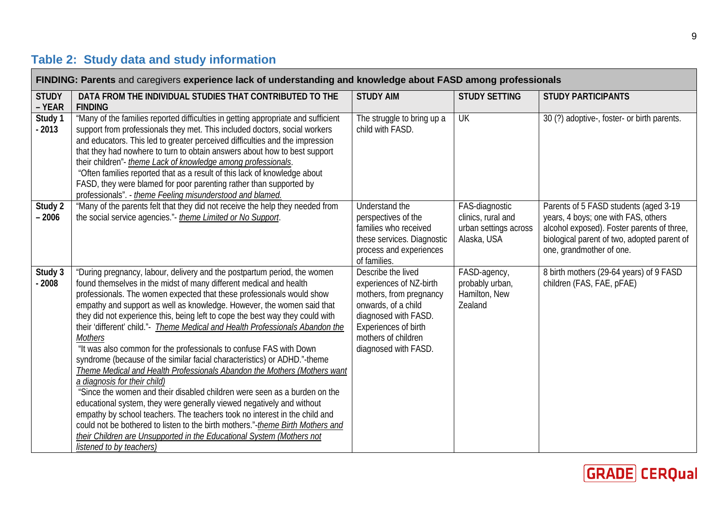# **Table 2: Study data and study information**

| FINDING: Parents and caregivers experience lack of understanding and knowledge about FASD among professionals |                                                                                                                                                                                                                                                                                                                                                                                                                                                                                                                                                                                                                                                                                                                                                                                                                                                                                                                                                                                                                                                                                                                                                                                |                                                                                                                                                                                                |                                                                              |                                                                                                                                                                                                       |
|---------------------------------------------------------------------------------------------------------------|--------------------------------------------------------------------------------------------------------------------------------------------------------------------------------------------------------------------------------------------------------------------------------------------------------------------------------------------------------------------------------------------------------------------------------------------------------------------------------------------------------------------------------------------------------------------------------------------------------------------------------------------------------------------------------------------------------------------------------------------------------------------------------------------------------------------------------------------------------------------------------------------------------------------------------------------------------------------------------------------------------------------------------------------------------------------------------------------------------------------------------------------------------------------------------|------------------------------------------------------------------------------------------------------------------------------------------------------------------------------------------------|------------------------------------------------------------------------------|-------------------------------------------------------------------------------------------------------------------------------------------------------------------------------------------------------|
| <b>STUDY</b><br>- YEAR                                                                                        | DATA FROM THE INDIVIDUAL STUDIES THAT CONTRIBUTED TO THE<br><b>FINDING</b>                                                                                                                                                                                                                                                                                                                                                                                                                                                                                                                                                                                                                                                                                                                                                                                                                                                                                                                                                                                                                                                                                                     | <b>STUDY AIM</b>                                                                                                                                                                               | <b>STUDY SETTING</b>                                                         | <b>STUDY PARTICIPANTS</b>                                                                                                                                                                             |
| Study 1<br>$-2013$                                                                                            | "Many of the families reported difficulties in getting appropriate and sufficient<br>support from professionals they met. This included doctors, social workers<br>and educators. This led to greater perceived difficulties and the impression<br>that they had nowhere to turn to obtain answers about how to best support<br>their children"- theme Lack of knowledge among professionals.<br>"Often families reported that as a result of this lack of knowledge about<br>FASD, they were blamed for poor parenting rather than supported by<br>professionals". - theme Feeling misunderstood and blamed.                                                                                                                                                                                                                                                                                                                                                                                                                                                                                                                                                                  | The struggle to bring up a<br>child with FASD.                                                                                                                                                 | UK                                                                           | 30 (?) adoptive-, foster- or birth parents.                                                                                                                                                           |
| Study 2<br>$-2006$                                                                                            | "Many of the parents felt that they did not receive the help they needed from<br>the social service agencies."- theme Limited or No Support.                                                                                                                                                                                                                                                                                                                                                                                                                                                                                                                                                                                                                                                                                                                                                                                                                                                                                                                                                                                                                                   | Understand the<br>perspectives of the<br>families who received<br>these services. Diagnostic<br>process and experiences<br>of families.                                                        | FAS-diagnostic<br>clinics, rural and<br>urban settings across<br>Alaska, USA | Parents of 5 FASD students (aged 3-19<br>years, 4 boys; one with FAS, others<br>alcohol exposed). Foster parents of three,<br>biological parent of two, adopted parent of<br>one, grandmother of one. |
| Study 3<br>$-2008$                                                                                            | "During pregnancy, labour, delivery and the postpartum period, the women<br>found themselves in the midst of many different medical and health<br>professionals. The women expected that these professionals would show<br>empathy and support as well as knowledge. However, the women said that<br>they did not experience this, being left to cope the best way they could with<br>their 'different' child."- Theme Medical and Health Professionals Abandon the<br><b>Mothers</b><br>"It was also common for the professionals to confuse FAS with Down<br>syndrome (because of the similar facial characteristics) or ADHD."-theme<br>Theme Medical and Health Professionals Abandon the Mothers (Mothers want<br>a diagnosis for their child)<br>"Since the women and their disabled children were seen as a burden on the<br>educational system, they were generally viewed negatively and without<br>empathy by school teachers. The teachers took no interest in the child and<br>could not be bothered to listen to the birth mothers."-theme Birth Mothers and<br>their Children are Unsupported in the Educational System (Mothers not<br>listened to by teachers) | Describe the lived<br>experiences of NZ-birth<br>mothers, from pregnancy<br>onwards, of a child<br>diagnosed with FASD.<br>Experiences of birth<br>mothers of children<br>diagnosed with FASD. | FASD-agency,<br>probably urban,<br>Hamilton, New<br>Zealand                  | 8 birth mothers (29-64 years) of 9 FASD<br>children (FAS, FAE, pFAE)                                                                                                                                  |

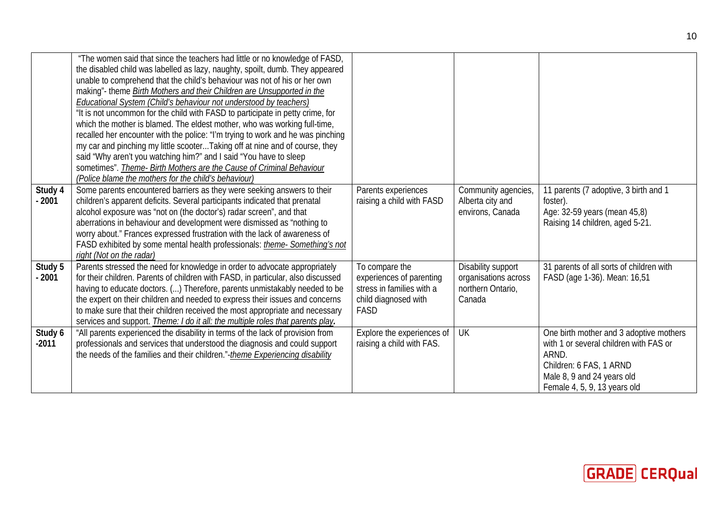|                    | "The women said that since the teachers had little or no knowledge of FASD,<br>the disabled child was labelled as lazy, naughty, spoilt, dumb. They appeared<br>unable to comprehend that the child's behaviour was not of his or her own<br>making"- theme Birth Mothers and their Children are Unsupported in the<br><b>Educational System (Child's behaviour not understood by teachers)</b><br>"It is not uncommon for the child with FASD to participate in petty crime, for<br>which the mother is blamed. The eldest mother, who was working full-time,<br>recalled her encounter with the police: "I'm trying to work and he was pinching<br>my car and pinching my little scooter Taking off at nine and of course, they<br>said "Why aren't you watching him?" and I said "You have to sleep<br>sometimes". Theme- Birth Mothers are the Cause of Criminal Behaviour<br>(Police blame the mothers for the child's behaviour) |                                                                                                         |                                                                           |                                                                                                                                                                                     |
|--------------------|----------------------------------------------------------------------------------------------------------------------------------------------------------------------------------------------------------------------------------------------------------------------------------------------------------------------------------------------------------------------------------------------------------------------------------------------------------------------------------------------------------------------------------------------------------------------------------------------------------------------------------------------------------------------------------------------------------------------------------------------------------------------------------------------------------------------------------------------------------------------------------------------------------------------------------------|---------------------------------------------------------------------------------------------------------|---------------------------------------------------------------------------|-------------------------------------------------------------------------------------------------------------------------------------------------------------------------------------|
| Study 4<br>$-2001$ | Some parents encountered barriers as they were seeking answers to their<br>children's apparent deficits. Several participants indicated that prenatal<br>alcohol exposure was "not on (the doctor's) radar screen", and that<br>aberrations in behaviour and development were dismissed as "nothing to<br>worry about." Frances expressed frustration with the lack of awareness of<br>FASD exhibited by some mental health professionals: <i>theme- Something's not</i><br>right (Not on the radar)                                                                                                                                                                                                                                                                                                                                                                                                                                   | Parents experiences<br>raising a child with FASD                                                        | Community agencies,<br>Alberta city and<br>environs, Canada               | 11 parents (7 adoptive, 3 birth and 1<br>foster).<br>Age: 32-59 years (mean 45,8)<br>Raising 14 children, aged 5-21.                                                                |
| Study 5<br>$-2001$ | Parents stressed the need for knowledge in order to advocate appropriately<br>for their children. Parents of children with FASD, in particular, also discussed<br>having to educate doctors. () Therefore, parents unmistakably needed to be<br>the expert on their children and needed to express their issues and concerns<br>to make sure that their children received the most appropriate and necessary<br>services and support. <i>Theme: I do it all: the multiple roles that parents play.</i>                                                                                                                                                                                                                                                                                                                                                                                                                                 | To compare the<br>experiences of parenting<br>stress in families with a<br>child diagnosed with<br>FASD | Disability support<br>organisations across<br>northern Ontario,<br>Canada | 31 parents of all sorts of children with<br>FASD (age 1-36). Mean: 16,51                                                                                                            |
| Study 6<br>$-2011$ | "All parents experienced the disability in terms of the lack of provision from<br>professionals and services that understood the diagnosis and could support<br>the needs of the families and their children."-theme Experiencing disability                                                                                                                                                                                                                                                                                                                                                                                                                                                                                                                                                                                                                                                                                           | Explore the experiences of<br>raising a child with FAS.                                                 | UK                                                                        | One birth mother and 3 adoptive mothers<br>with 1 or several children with FAS or<br>ARND.<br>Children: 6 FAS, 1 ARND<br>Male 8, 9 and 24 years old<br>Female 4, 5, 9, 13 years old |